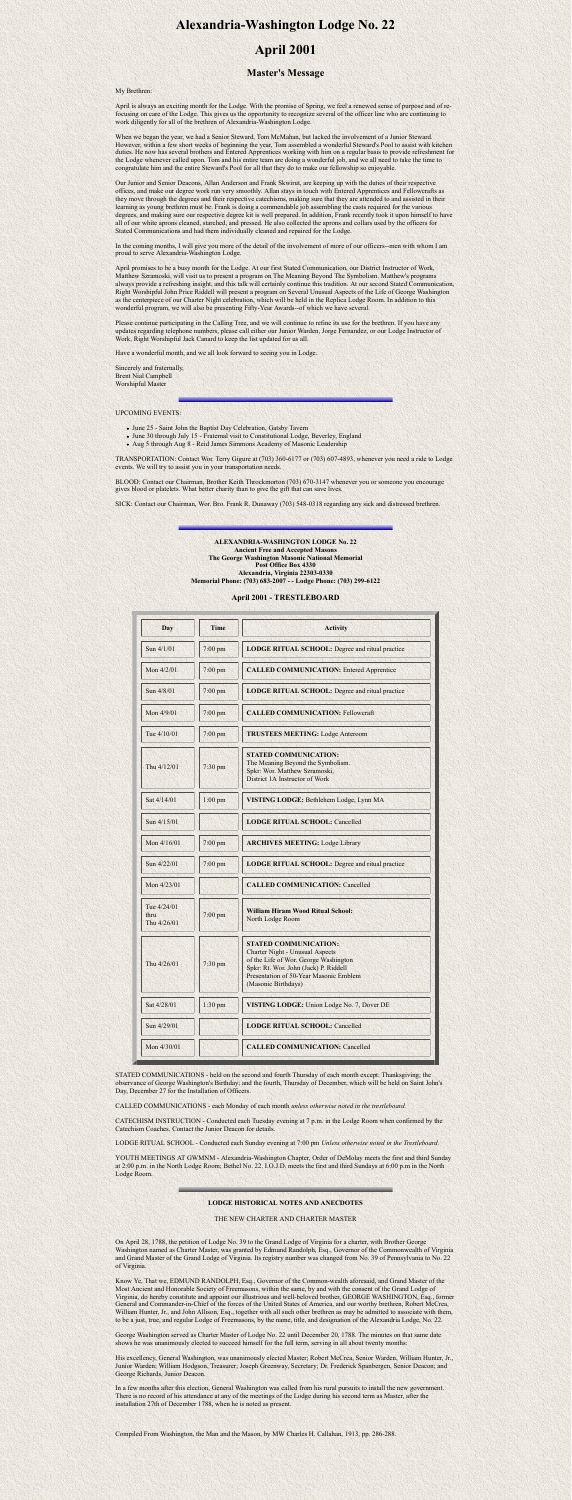# **Alexandria-Washington Lodge No. 22**

## **April 2001**

### **Master's Message**

My Brethren:

April is always an exciting month for the Lodge. With the promise of Spring, we feel a renewed sense of purpose and of refocusing on care of the Lodge. This gives us the opportunity to recognize several of the officer line who are continuing to work diligently for all of the brethren of Alexandria-Washington Lodge.

When we began the year, we had a Senior Steward, Tom McMahan, but lacked the involvement of a Junior Steward. However, within a few short weeks of beginning the year, Tom assembled a wonderful Steward's Pool to assist with kitchen duties. He now has several brothers and Entered Apprentices working with him on a regular basis to provide refreshment for the Lodge whenever called upon. Tom and his entire team are doing a wonderful job, and we all need to take the time to congratulate him and the entire Steward's Pool for all that they do to make our fellowship so enjoyable.

In the coming months, I will give you more of the detail of the involvement of more of our officers--men with whom I am proud to serve Alexandria-Washington Lodge.

Our Junior and Senior Deacons, Allan Anderson and Frank Skwirut, are keeping up with the duties of their respective offices, and make our degree work run very smoothly. Allan stays in touch with Entered Apprentices and Fellowcrafts as they move through the degrees and their respective catechisms, making sure that they are attended to and assisted in their learning as young brethren must be. Frank is doing a commendable job assembling the casts required for the various degrees, and making sure our respective degree kit is well prepared. In addition, Frank recently took it upon himself to have all of our white aprons cleaned, starched, and pressed. He also collected the aprons and collars used by the officers for Stated Communications and had them individually cleaned and repaired for the Lodge.

- June 25 Saint John the Baptist Day Celebration, Gatsby Tavern
- June 30 through July 15 Fraternal visit to Constitutional Lodge, Beverley, England
- Aug 5 through Aug 8 Reid James Simmons Academy of Masonic Leadership

April promises to be a busy month for the Lodge. At our first Stated Communication, our District Instructor of Work, Matthew Szramoski, will visit us to present a program on The Meaning Beyond The Symbolism. Matthew's programs always provide a refreshing insight, and this talk will certainly continue this tradition. At our second Stated Communication, Right Worshipful John Price Riddell will present a program on Several Unusual Aspects of the Life of George Washington as the centerpiece of our Charter Night celebration, which will be held in the Replica Lodge Room. In addition to this wonderful program, we will also be presenting Fifty-Year Awards--of which we have several.

| $\sin 4/29/01$ | <b>LODGE RITUAL SCHOOL: Cancelled</b>  |
|----------------|----------------------------------------|
| Mon $4/30/01$  | <b>CALLED COMMUNICATION: Cancelled</b> |

Please continue participating in the Calling Tree, and we will continue to refine its use for the brethren. If you have any updates regarding telephone numbers, please call either our Junior Warden, Jorge Fernandez, or our Lodge Instructor of Work, Right Worshipful Jack Canard to keep the list updated for us all.

Have a wonderful month, and we all look forward to seeing you in Lodge.

Sincerely and fraternally, Brent Nial Campbell Worshipful Master

UPCOMING EVENTS:

TRANSPORTATION: Contact Wor. Terry Gigure at (703) 360-6177 or (703) 607-4893, whenever you need a ride to Lodge events. We will try to assist you in your transportation needs.

BLOOD: Contact our Chairman, Brother Keith Throckmorton (703) 670-3147 whenever you or someone you encourage gives blood or platelets. What better charity than to give the gift that can save lives.

SICK: Contact our Chairman, Wor. Bro. Frank R. Dunaway (703) 548-0318 regarding any sick and distressed brethren.

**ALEXANDRIA-WASHINGTON LODGE No. 22 Ancient Free and Accepted Masons The George Washington Masonic National Memorial Post Office Box 4330 Alexandria, Virginia 22303-0330 Memorial Phone: (703) 683-2007 - - Lodge Phone: (703) 299-6122**

#### **April 2001 - TRESTLEBOARD**

| Day                                | <b>Time</b> | <b>Activity</b>                                                                                                                                                                                                           |
|------------------------------------|-------------|---------------------------------------------------------------------------------------------------------------------------------------------------------------------------------------------------------------------------|
| Sun 4/1/01                         | $7:00$ pm   | <b>LODGE RITUAL SCHOOL:</b> Degree and ritual practice                                                                                                                                                                    |
| Mon 4/2/01                         | $7:00$ pm   | <b>CALLED COMMUNICATION: Entered Apprentice</b>                                                                                                                                                                           |
| Sun 4/8/01                         | $7:00$ pm   | <b>LODGE RITUAL SCHOOL:</b> Degree and ritual practice                                                                                                                                                                    |
| Mon 4/9/01                         | 7:00 pm     | <b>CALLED COMMUNICATION: Fellowcraft</b>                                                                                                                                                                                  |
| Tue 4/10/01                        | $7:00$ pm   | <b>TRUSTEES MEETING: Lodge Anteroom</b>                                                                                                                                                                                   |
| Thu 4/12/01                        | 7:30 pm     | <b>STATED COMMUNICATION:</b><br>The Meaning Beyond the Symbolism.<br>Spkr: Wor. Matthew Szramoski,<br>District 1A Instructor of Work                                                                                      |
| Sat 4/14/01                        | $1:00$ pm   | VISTING LODGE: Bethlehem Lodge, Lynn MA                                                                                                                                                                                   |
| Sun 4/15/01                        |             | <b>LODGE RITUAL SCHOOL: Cancelled</b>                                                                                                                                                                                     |
| Mon 4/16/01                        | $7:00$ pm   | <b>ARCHIVES MEETING: Lodge Library</b>                                                                                                                                                                                    |
| Sun 4/22/01                        | $7:00$ pm   | LODGE RITUAL SCHOOL: Degree and ritual practice                                                                                                                                                                           |
| Mon 4/23/01                        |             | <b>CALLED COMMUNICATION: Cancelled</b>                                                                                                                                                                                    |
| Tue 4/24/01<br>thru<br>Thu 4/26/01 | $7:00$ pm   | <b>William Hiram Wood Ritual School:</b><br>North Lodge Room                                                                                                                                                              |
| Thu 4/26/01                        | $7:30$ pm   | <b>STATED COMMUNICATION:</b><br><b>Charter Night - Unusual Aspects</b><br>of the Life of Wor. George Washington<br>Spkr: Rt. Wor. John (Jack) P. Riddell<br>Presentation of 50-Year Masonic Emblem<br>(Masonic Birthdays) |
| Sat 4/28/01                        | $1:30$ pm   | VISTING LODGE: Union Lodge No. 7, Dover DE                                                                                                                                                                                |

STATED COMMUNICATIONS - held on the second and fourth Thursday of each month except: Thanksgiving; the observance of George Washington's Birthday; and the fourth, Thursday of December, which will be held on Saint John's Day, December 27 for the Installation of Officers.

CALLED COMMUNICATIONS - each Monday of each month *unless otherwise noted in the trestleboard.*

CATECHISM INSTRUCTION - Conducted each Tuesday evening at 7 p.m. in the Lodge Room when confirmed by the Catechism Coaches. Contact the Junior Deacon for details.

LODGE RITUAL SCHOOL - Conducted each Sunday evening at 7:00 pm *Unless otherwise noted in the Trestleboard.*

YOUTH MEETINGS AT GWMNM - Alexandria-Washington Chapter, Order of DeMolay meets the first and third Sunday at 2:00 p.m. in the North Lodge Room; Bethel No. 22. I.O.J.D. meets the first and third Sundays at 6:00 p.m in the North Lodge Room.

#### **LODGE HISTORICAL NOTES AND ANECDOTES**

#### THE NEW CHARTER AND CHARTER MASTER

On April 28, 1788, the petition of Lodge No. 39 to the Grand Lodge of Virginia for a charter, with Brother George Washington named as Charter Master, was granted by Edmund Randolph, Esq., Governor of the Commonwealth of Virginia and Grand Master of the Grand Lodge of Virginia. Its registry number was changed from No. 39 of Pennsylvania to No. 22 of Virginia.

Know Ye, That we, EDMUND RANDOLPH, Esq., Governor of the Common-wealth aforesaid, and Grand Master of the Most Ancient and Honorable Society of Freemasons, within the same, by and with the consent of the Grand Lodge of Virginia, do hereby constitute and appoint our illustrious and well-beloved brother, GEORGE WASHINGTON, Esq., former General and Commander-in-Chief of the forces of the United States of America, and our worthy brethren, Robert McCrea, William Hunter, Jr., and John Allison, Esq., together with all such other brethren as may be admitted to associate with them, to be a just, true, and regular Lodge of Freemasons, by the name, title, and designation of the Alexandria Lodge, No. 22.

George Washington served as Charter Master of Lodge No. 22 until December 20, 1788. The minutes on that same date shows he was unanimously elected to succeed himself for the full term, serving in all about twenty months:

His excellency, General Washington, was unanimously elected Master; Robert McCrea, Senior Warden, William Hunter, Jr., Junior Warden; William Hodgson, Treasurer; Joseph Greenway, Secretary; Dr. Frederick Spanbergen, Senior Deacon; and George Richards, Junior Deacon.

In a few months after this election, General Washington was called from his rural pursuits to install the new government. There is no record of his attendance at any of the meetings of the Lodge during his second term as Master, after the installation 27th of December 1788, when he is noted as present.

Compiled From Washington, the Man and the Mason, by MW Charles H. Callahan, 1913, pp. 286-288.